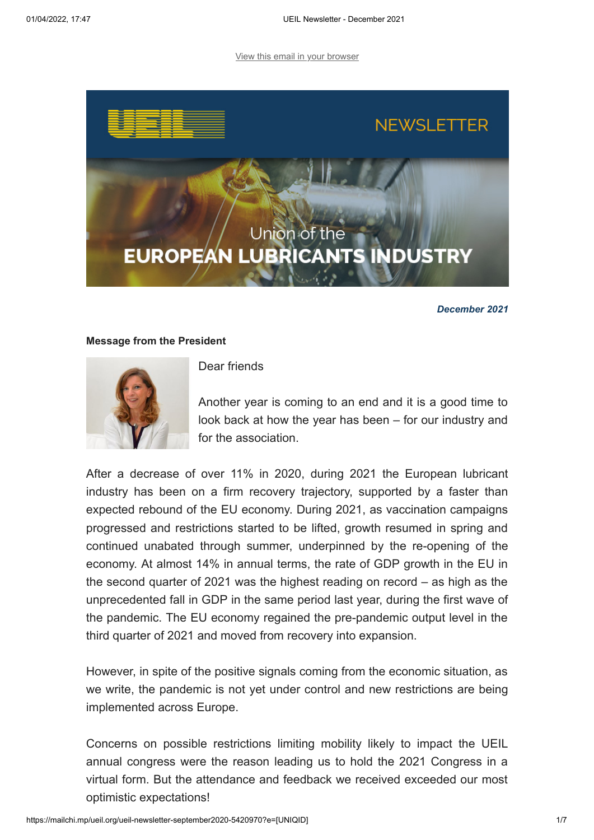[View this email in your browser](https://mailchi.mp/ueil.org/ueil-newsletter-september2020-5420970?e=[UNIQID])



*December 2021*

## **Message from the President**



Dear friends

Another year is coming to an end and it is a good time to look back at how the year has been – for our industry and for the association.

After a decrease of over 11% in 2020, during 2021 the European lubricant industry has been on a firm recovery trajectory, supported by a faster than expected rebound of the EU economy. During 2021, as vaccination campaigns progressed and restrictions started to be lifted, growth resumed in spring and continued unabated through summer, underpinned by the re-opening of the economy. At almost 14% in annual terms, the rate of GDP growth in the EU in the second quarter of 2021 was the highest reading on record – as high as the unprecedented fall in GDP in the same period last year, during the first wave of the pandemic. The EU economy regained the pre-pandemic output level in the third quarter of 2021 and moved from recovery into expansion.

However, in spite of the positive signals coming from the economic situation, as we write, the pandemic is not yet under control and new restrictions are being implemented across Europe.

Concerns on possible restrictions limiting mobility likely to impact the UEIL annual congress were the reason leading us to hold the 2021 Congress in a virtual form. But the attendance and feedback we received exceeded our most optimistic expectations!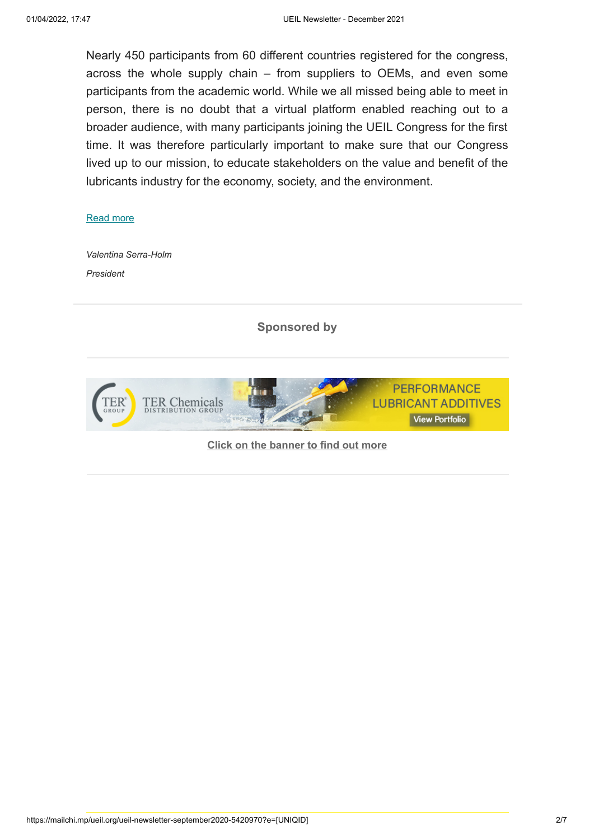Nearly 450 participants from 60 different countries registered for the congress, across the whole supply chain – from suppliers to OEMs, and even some participants from the academic world. While we all missed being able to meet in person, there is no doubt that a virtual platform enabled reaching out to a broader audience, with many participants joining the UEIL Congress for the first time. It was therefore particularly important to make sure that our Congress lived up to our mission, to educate stakeholders on the value and benefit of the lubricants industry for the economy, society, and the environment.

## [Read more](https://www.ueil.org/message-from-the-president-december-2021/)

*Valentina Serra-Holm President*

**Sponsored by**



**[Click on the banner to find out more](https://www.terchemicals.com/en/products/lubricants)**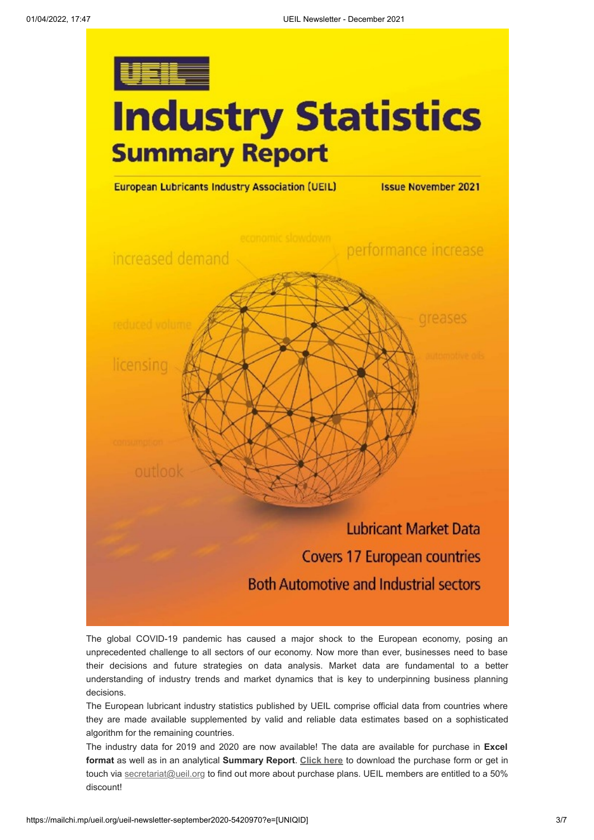

# **Industry Statistics Summary Report**



The global COVID-19 pandemic has caused a major shock to the European economy, posing an unprecedented challenge to all sectors of our economy. Now more than ever, businesses need to base their decisions and future strategies on data analysis. Market data are fundamental to a better understanding of industry trends and market dynamics that is key to underpinning business planning decisions.

The European lubricant industry statistics published by UEIL comprise official data from countries where they are made available supplemented by valid and reliable data estimates based on a sophisticated algorithm for the remaining countries.

The industry data for 2019 and 2020 are now available! The data are available for purchase in **Excel format** as well as in an analytical **Summary Report**. **[Click here](https://www.ueil.org/wp-content/uploads/2021/11/UEIL-Statistics-Purchase-Form-2021.doc)** to download the purchase form or get in touch via [secretariat@ueil.org](mailto:secretariat@ueil.org?subject=Industry%20Statistics%20enquiry) to find out more about purchase plans. UEIL members are entitled to a 50% discount!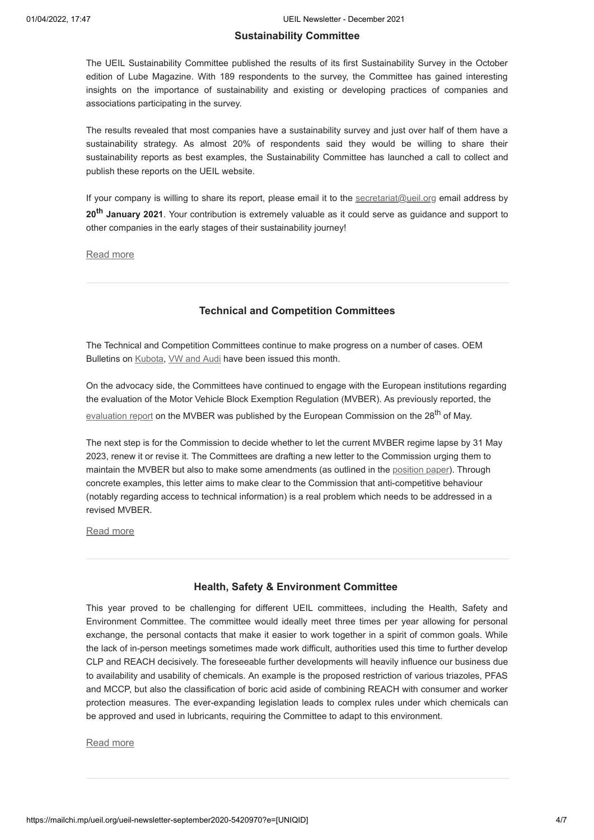#### **Sustainability Committee**

The UEIL Sustainability Committee published the results of its first Sustainability Survey in the October edition of Lube Magazine. With 189 respondents to the survey, the Committee has gained interesting insights on the importance of sustainability and existing or developing practices of companies and associations participating in the survey.

The results revealed that most companies have a sustainability survey and just over half of them have a sustainability strategy. As almost 20% of respondents said they would be willing to share their sustainability reports as best examples, the Sustainability Committee has launched a call to collect and publish these reports on the UEIL website.

If your company is willing to share its report, please email it to the [secretariat@ueil.org](mailto:secretariat@ueil.org) email address by **20th January 2021**. Your contribution is extremely valuable as it could serve as guidance and support to other companies in the early stages of their sustainability journey!

[Read more](https://www.ueil.org/sustainability-committee-update-december-2021/)

### **Technical and Competition Committees**

The Technical and Competition Committees continue to make progress on a number of cases. OEM Bulletins on [Kubota,](https://www.ueil.org/wp-content/uploads/2021/12/2021_December_OEMBulletin_Kubota.pdf) [VW and Audi](https://www.ueil.org/wp-content/uploads/2021/12/2021_December_OEMBulletin_VW-Audi.pdf) have been issued this month.

On the advocacy side, the Committees have continued to engage with the European institutions regarding the evaluation of the Motor Vehicle Block Exemption Regulation (MVBER). As previously reported, the [evaluation report](https://ec.europa.eu/transparency/documents-register/detail?ref=COM(2021)264&lang=en) on the MVBER was published by the European Commission on the 28<sup>th</sup> of May.

The next step is for the Commission to decide whether to let the current MVBER regime lapse by 31 May 2023, renew it or revise it. The Committees are drafting a new letter to the Commission urging them to maintain the MVBER but also to make some amendments (as outlined in the [position paper](https://www.ueil.org/wp-content/uploads/2020/06/UEIL-Draft-Position-Paper-MVBER-Final.pdf)). Through concrete examples, this letter aims to make clear to the Commission that anti-competitive behaviour (notably regarding access to technical information) is a real problem which needs to be addressed in a revised MVBER.

[Read more](https://www.ueil.org/technical-and-competition-committees-update-december-2021/)

#### **Health, Safety & Environment Committee**

This year proved to be challenging for different UEIL committees, including the Health, Safety and Environment Committee. The committee would ideally meet three times per year allowing for personal exchange, the personal contacts that make it easier to work together in a spirit of common goals. While the lack of in-person meetings sometimes made work difficult, authorities used this time to further develop CLP and REACH decisively. The foreseeable further developments will heavily influence our business due to availability and usability of chemicals. An example is the proposed restriction of various triazoles, PFAS and MCCP, but also the classification of boric acid aside of combining REACH with consumer and worker protection measures. The ever-expanding legislation leads to complex rules under which chemicals can be approved and used in lubricants, requiring the Committee to adapt to this environment.

#### [Read more](https://www.ueil.org/hse-committee-update-december-2021/)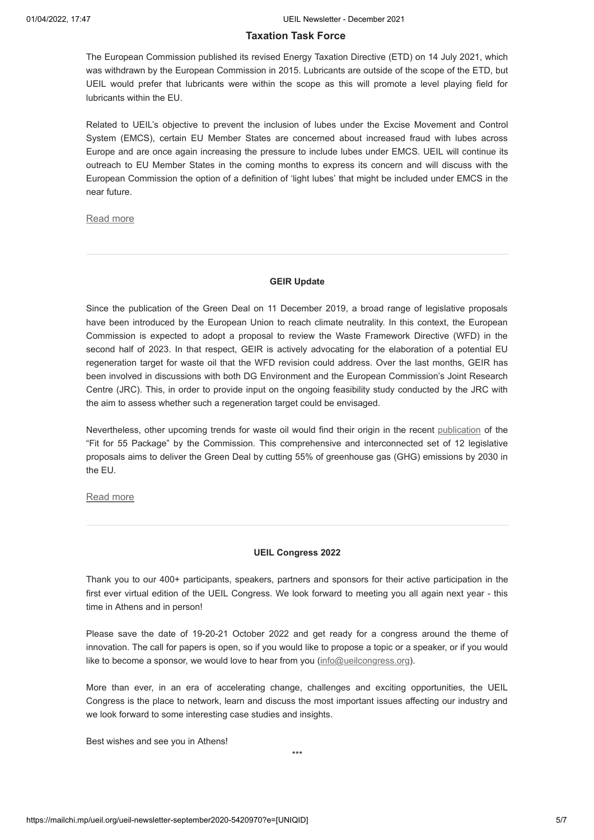#### **Taxation Task Force**

The European Commission published its revised Energy Taxation Directive (ETD) on 14 July 2021, which was withdrawn by the European Commission in 2015. Lubricants are outside of the scope of the ETD, but UEIL would prefer that lubricants were within the scope as this will promote a level playing field for lubricants within the EU.

Related to UEIL's objective to prevent the inclusion of lubes under the Excise Movement and Control System (EMCS), certain EU Member States are concerned about increased fraud with lubes across Europe and are once again increasing the pressure to include lubes under EMCS. UEIL will continue its outreach to EU Member States in the coming months to express its concern and will discuss with the European Commission the option of a definition of 'light lubes' that might be included under EMCS in the near future.

[Read more](https://www.ueil.org/taxation-task-force-update-december-2021/)

#### **GEIR Update**

Since the publication of the Green Deal on 11 December 2019, a broad range of legislative proposals have been introduced by the European Union to reach climate neutrality. In this context, the European Commission is expected to adopt a proposal to review the Waste Framework Directive (WFD) in the second half of 2023. In that respect, GEIR is actively advocating for the elaboration of a potential EU regeneration target for waste oil that the WFD revision could address. Over the last months, GEIR has been involved in discussions with both DG Environment and the European Commission's Joint Research Centre (JRC). This, in order to provide input on the ongoing feasibility study conducted by the JRC with the aim to assess whether such a regeneration target could be envisaged.

Nevertheless, other upcoming trends for waste oil would find their origin in the recent [publication](https://ec.europa.eu/info/strategy/priorities-2019-2024/european-green-deal/delivering-european-green-deal_en) of the "Fit for 55 Package" by the Commission. This comprehensive and interconnected set of 12 legislative proposals aims to deliver the Green Deal by cutting 55% of greenhouse gas (GHG) emissions by 2030 in the EU.

[Read more](https://www.geir-rerefining.org/geir-news-december-2021/)

#### **UEIL Congress 2022**

Thank you to our 400+ participants, speakers, partners and sponsors for their active participation in the first ever virtual edition of the UEIL Congress. We look forward to meeting you all again next year - this time in Athens and in person!

Please save the date of 19-20-21 October 2022 and get ready for a congress around the theme of innovation. The call for papers is open, so if you would like to propose a topic or a speaker, or if you would like to become a sponsor, we would love to hear from you  $(info@ueilcongress.org)$ .

More than ever, in an era of accelerating change, challenges and exciting opportunities, the UEIL Congress is the place to network, learn and discuss the most important issues affecting our industry and we look forward to some interesting case studies and insights.

Best wishes and see you in Athens!

\*\*\*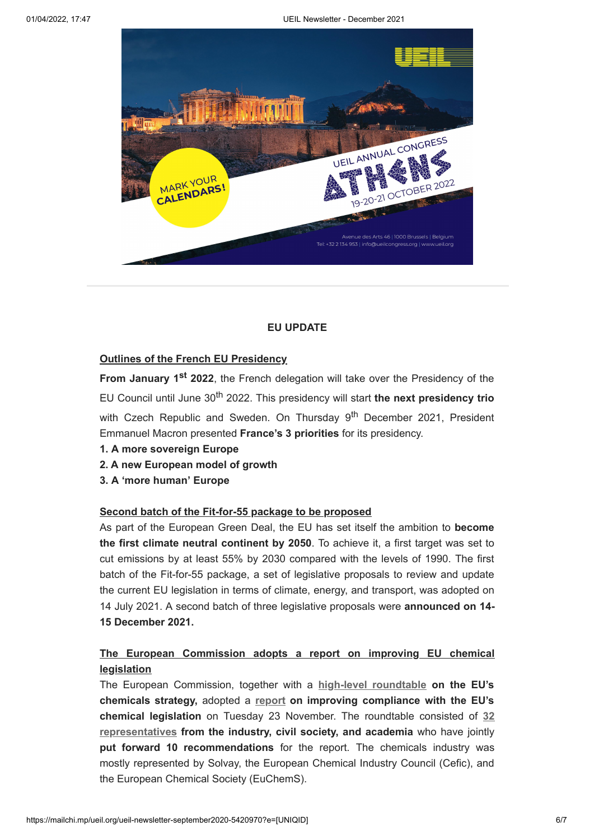

## **EU UPDATE**

## **Outlines of the French EU Presidency**

**From January 1<sup>st</sup> 2022**, the French delegation will take over the Presidency of the EU Council until June 30th 2022. This presidency will start **the next presidency trio** with Czech Republic and Sweden. On Thursday 9<sup>th</sup> December 2021, President Emmanuel Macron presented **France's 3 priorities** for its presidency.

- **1. A more sovereign Europe**
- **2. A new European model of growth**
- **3. A 'more human' Europe**

## **Second batch of the Fit-for-55 package to be proposed**

As part of the European Green Deal, the EU has set itself the ambition to **become the first climate neutral continent by 2050**. To achieve it, a first target was set to cut emissions by at least 55% by 2030 compared with the levels of 1990. The first batch of the Fit-for-55 package, a set of legislative proposals to review and update the current EU legislation in terms of climate, energy, and transport, was adopted on 14 July 2021. A second batch of three legislative proposals were **announced on 14- 15 December 2021.**

## **The European Commission adopts a report on improving EU chemical legislation**

The European Commission, together with a **[high-level roundtable](https://www.youtube.com/watch?v=qJA8viS2Zkc) on the EU's chemicals strategy,** adopted a **[report](https://www.politico.eu/wp-content/uploads/2021/11/26/Joint-report-on-enforcement-and-compliance_High-Level-Roundtable-FINAL-FOR-ADOPTION-1.pdf?utm_source=POLITICO.EU&utm_campaign=de53fea71e-EMAIL_CAMPAIGN_2021_11_26_03_33&utm_medium=email&utm_term=0_10959edeb5-de53fea71e-190770700) on improving compliance with the EU's chemical legislation** [on Tuesday 23 November. The roundtable consisted of](https://ec.europa.eu/transparency/expert-groups-register/screen/expert-groups/consult?lang=en&groupId=3757&fromMeetings=true&meetingId=29575&utm_source=POLITICO.EU&utm_campaign=de53fea71e-EMAIL_CAMPAIGN_2021_11_26_03_33&utm_medium=email&utm_term=0_10959edeb5-de53fea71e-190770700) **32 representatives from the industry, civil society, and academia** who have jointly **put forward 10 recommendations** for the report. The chemicals industry was mostly represented by Solvay, the European Chemical Industry Council (Cefic), and the European Chemical Society (EuChemS).